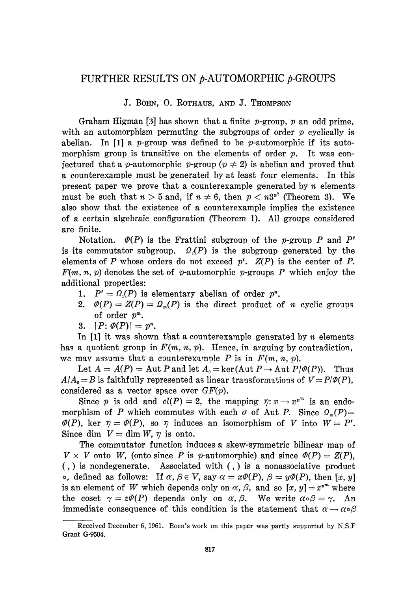## FURTHER RESULTS ON  $\nu$ -AUTOMORPHIC  $\nu$ -GROUPS

## **J. BόEN, 0 . ROTHAUS, AND J. THOMPSON**

Graham Hίgman [3] has shown that a finite p-group, *p* an odd prime, with an automorphism permuting the subgroups of order *p* cyclically is abelian. In [1] a p-group was defined to be p-automorphic if its automorphism group is transitive on the elements of order *p.* It was con jectured that a *p*-automorphic *p*-group ( $p \neq 2$ ) is abelian and proved that a counterexample must be generated by at least four elements. In this present paper we prove that a counterexample generated by *n* elements must be such that  $n > 5$  and, if  $n \neq 6$ , then  $p < n3^{n^2}$  (Theorem 3). We also show that the existence of a counterexample implies the existence of a certain algebraic configuration (Theorem 1). All groups considered are finite.

Notation. *Φ(P)* is the Frattini subgroup of the p-group P and *P<sup>r</sup>* is its commutator subgroup.  $\Omega_i(P)$  is the subgroup generated by the elements of P whose orders do not exceed  $p^i$ .  $Z(P)$  is the center of P.  $F(m, n, p)$  denotes the set of p-automorphic p-groups P which enjoy the additional properties:

- 1.  $P' = \Omega_1(P)$  is elementary abelian of order  $p^n$ .
- 2.  $\Phi(P) = Z(P) = \Omega_m(P)$  is the direct product of *n* cyclic groups of order *p m .*
- 3.  $|P: \varPhi(P)| = p^n$ .

In [1] it was shown that a counterexample generated by *n* elements has a quotient group in  $F(m, n, p)$ . Hence, in arguing by contradiction, we may assume that a counterexample  $P$  is in  $F(m, n, p)$ .

Let  $A = A(P) =$  Aut P and let  $A_0 =$  ker(Aut  $P \rightarrow$  Aut  $P/\mathcal{P}(P)$ ). Thus  $A/A_0 = B$  is faithfully represented as linear transformations of  $V = P/\varPhi(P)$ , considered as a vector space over *GF(p).*

Since p is odd and  $cl(P) = 2$ , the mapping  $\eta: x \to x^{p^m}$  is an endomorphism of *P* which commutes with each  $\sigma$  of Aut *P*. Since  $\Omega_m(P) =$  $\Phi(P)$ , ker  $\eta = \Phi(P)$ , so  $\eta$  induces an isomorphism of *V* into  $W = P'$ . Since dim  $V = \dim W$ ,  $\eta$  is onto.

The commutator function induces a skew-symmetric bilinear map of  $V \times V$  onto *W*, (onto since *P* is *p*-automorphic) and since  $\Phi(P) = Z(P)$ , (,) is nondegenerate. Associated with (,) is a nonassociative product  $\circ$ , defined as follows: If  $\alpha$ ,  $\beta \in V$ , say  $\alpha = x\phi(P)$ ,  $\beta = y\phi(P)$ , then [x, y] is an element of W which depends only on  $\alpha$ ,  $\beta$ , and so  $[x, y] = z^{p^{m}}$  where the coset  $\gamma = z\varPhi(P)$  depends only on  $\alpha$ ,  $\beta$ . We write  $\alpha \circ \beta = \gamma$ . An immediate consequence of this condition is the statement that  $\alpha \rightarrow \alpha \circ \beta$ 

Received December 6, 1961. Boen's work on this paper was partly supported by N.S.F Grant G-9504.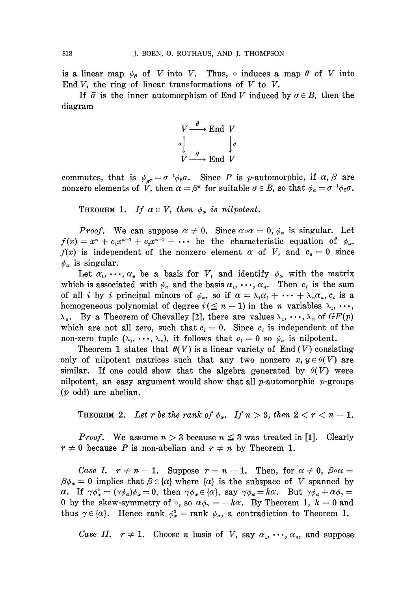is a linear map  $\phi_{\beta}$  of *V* into *V*. Thus,  $\circ$  induces a map  $\theta$  of *V* into End  $V$ , the ring of linear transformations of  $V$  to  $V$ .

If  $\bar{\sigma}$  is the inner automorphism of End *V* induced by  $\sigma \in B$ , then the diagram

$$
V \xrightarrow{\theta} \text{End } V
$$

$$
\sigma \downarrow \qquad \downarrow \bar{\sigma}
$$

$$
V \xrightarrow{\theta} \text{End } V
$$

commutes, that is  $\phi_{\beta} = \sigma^{-1} \phi_{\beta} \sigma$ . Since P is p-automorphic, if  $\alpha$ ,  $\beta$  are nonzero elements of V, then  $\alpha = \beta^{\sigma}$  for suitable  $\sigma \in B$ , so that  $\phi_{\alpha} = \sigma^{-1} \phi_{\beta} \sigma$ .

THEOREM 1. If  $\alpha \in V$ , then  $\phi_{\alpha}$  is nilpotent.

*Proof.* We can suppose  $\alpha \neq 0$ . Since  $\alpha \circ \alpha = 0$ ,  $\phi_{\alpha}$  is singular. Let  $f(x) = x^n + c_1 x^{n-1} + c_2 x^{n-2} + \cdots$  be the characteristic equation of  $\phi_\alpha$ . *f(x)* is independent of the nonzero element  $\alpha$  of V, and  $c_n = 0$  since  $\phi_{\alpha}$  is singular.

Let  $\alpha_1, \dots, \alpha_n$  be a basis for V, and identify  $\phi_\alpha$  with the matrix which is associated with  $\phi_{\alpha}$  and the basis  $\alpha_{1}, \dots, \alpha_{n}$ . Then  $c_{i}$  is the sum of all *i* by *i* principal minors of  $\phi_{\alpha}$ , so if  $\alpha = \lambda_1 \alpha_1 + \cdots + \lambda_n \alpha_n$ ,  $c_i$  is a homogeneous polynomial of degree  $i \leq n-1$ ) in the *n* variables  $\lambda_1, \ldots,$ <sup>n</sup>. By a Theorem of Chevalley [2], there are values  $\lambda_1, \dots, \lambda_n$  of  $GF(p)$ which are not all zero, such that  $c_i = 0$ . Since  $c_i$  is independent of the non-zero tuple  $(\lambda_1, \dots, \lambda_n)$ , it follows that  $c_i = 0$  so  $\phi_\alpha$  is nilpotent.

Theorem 1 states that  $\theta(V)$  is a linear variety of End  $(V)$  consisting only of nilpotent matrices such that any two nonzero  $x, y \in \theta(V)$  are similar. If one could show that the algebra generated by  $\theta(V)$  were nilpotent, an easy argument would show that all  $p$ -automorphic  $p$ -groups *(p* odd) are abelian.

THEOREM 2. Let r be the rank of  $\phi_{\alpha}$ . If  $n > 3$ , then  $2 < r < n - 1$ .

*Proof.* We assume  $n > 3$  because  $n \leq 3$  was treated in [1]. Clearly  $r \neq 0$  because P is non-abelian and  $r \neq n$  by Theorem 1.

*Case I.*  $r \neq n-1$ . Suppose  $r = n-1$ . Then, for  $\alpha \neq 0$ ,  $\beta \circ \alpha =$  $\beta \phi_{\alpha} = 0$  implies that  $\beta \in {\alpha}$  where  ${\alpha}$  is the subspace of V spanned by *a*. If  $\gamma \phi_{\alpha}^2 = (\gamma \phi_{\alpha}) \phi_{\alpha} = 0$ , then  $\gamma \phi_{\alpha} \in {\alpha}$ , say  $\gamma \phi_{\alpha} = k \alpha$ . But  $\gamma \phi_{\alpha} + \alpha \phi_{\gamma} =$ 0 by the skew-symmetry of  $\circ$ , so  $\alpha\phi_{\gamma} = -k\alpha$ . By Theorem 1,  $k = 0$  and thus  $\gamma \in \{\alpha\}$ . Hence rank  $\phi^2_{\alpha} = \text{rank} \phi_{\alpha}$ , a contradiction to Theorem 1.

*Case II.*  $r \neq 1$ . Choose a basis of V, say  $\alpha_1, \dots, \alpha_n$ , and suppose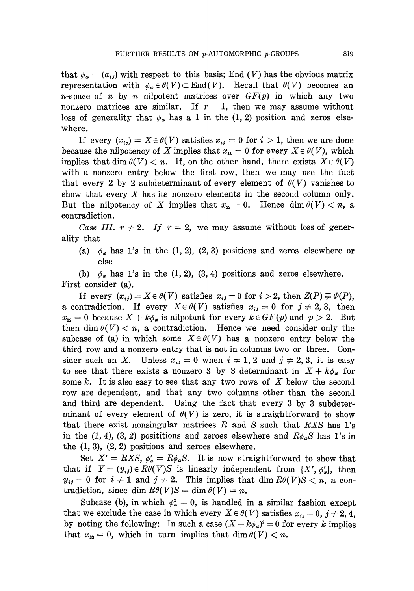that  $\phi_{\alpha} = (a_{ij})$  with respect to this basis; End (V) has the obvious matrix  $\mathsf{representation} \text{ with } \phi_a \in \theta(V) \subset \text{End}(V). \quad \text{Recall that } \theta(V) \text{ becomes an}$ *n*-space of *n* by *n* nilpotent matrices over  $GF(p)$  in which any two nonzero matrices are similar. If *r =* 1, then we may assume without loss of generality that  $\phi_{\alpha}$  has a 1 in the (1, 2) position and zeros elsewhere.

If every  $(x_{ij}) = X \in \theta(V)$  satisfies  $x_{ij} = 0$  for  $i > 1$ , then we are done because the nilpotency of  $X$  implies that  $x_{\text{11}} = 0$  for every  $X \in \theta(V)$ , which implies that dim  $\theta(V) < n$ . If, on the other hand, there exists  $X \in \theta(V)$ with a nonzero entry below the first row, then we may use the fact that every 2 by 2 subdeterminant of every element of  $\theta(V)$  vanishes to show that every *X* has its nonzero elements in the second column only. But the nilpotency of X implies that  $x_{22} = 0$ . Hence dim  $\theta(V) < n$ , a contradiction.

*Case III.*  $r \neq 2$ . *If*  $r = 2$ , we may assume without loss of generality that

(a)  $\phi_{\alpha}$  has 1's in the (1, 2), (2, 3) positions and zeros elsewhere or else

(b) *φ<sup>a</sup>*  $\phi_{\alpha}$  has 1's in the (1, 2), (3, 4) positions and zeros elsewhere. First consider (a).

If every  $(x_{ij}) = X \in \theta(V)$  satisfies  $x_{ij} = 0$  for  $i > 2$ , then  $Z(P) \subsetneq \theta(P)$ , a contradiction. If every  $X \in \theta(V)$  satisfies  $x_{ij} = 0$  for  $j \neq 2, 3$ , then  $x_{32} = 0$  because  $X + k\phi_\alpha$  is nilpotant for every  $k \in GF(p)$  and  $p > 2$ . But then dim  $\theta(V) < n$ , a contradiction. Hence we need consider only the subcase of (a) in which some  $X \in \theta(V)$  has a nonzero entry below the third row and a nonzero entry that is not in columns two or three. Con sider such an X. Unless  $x_{ij} = 0$  when  $i \neq 1, 2$  and  $j \neq 2, 3$ , it is easy to see that there exists a nonzero 3 by 3 determinant in  $X + k\phi_{\alpha}$  for some *k.* It is also easy to see that any two rows of *X* below the second row are dependent, and that any two columns other than the second and third are dependent. Using the fact that every 3 by 3 subdeter minant of every element of  $\theta(V)$  is zero, it is straightforward to show that there exist nonsingular matrices *R* and *S* such that *RXS* has Γs in the (1, 4), (3, 2) posititions and zeroes elsewhere and  $R\phi_a S$  has 1's in the  $(1, 3)$ ,  $(2, 2)$  positions and zeroes elsewhere.

 $\operatorname{Set}$   $X' = RXS, \phi'_a$  $a = R\phi_{\alpha}S$ . It is now straightforward to show that that if  $Y = (y_{ij}) \in R\theta(V)S$  is linearly independent from  $\{X', \phi'_\alpha\}$ , then  $y_{ij} = 0$  for  $i \neq 1$  and  $j \neq 2$ . This implies that dim  $R\theta(V)S < n$ , a contradiction, since dim  $R\theta(V)S = \dim \theta(V) = n$ .

Subcase (b), in which  $\phi^2_{\alpha} = 0$ , is handled in a similar fashion except that we exclude the case in which every  $X \in \theta(V)$  satisfies  $x_{ij} = 0$ ,  $j \neq 2, 4$ , by noting the following: In such a case  $(X + k\phi_{\alpha})^2 = 0$  for every *k* implies that  $x_{22} = 0$ , which in turn implies that dim  $\theta(V) < n$ .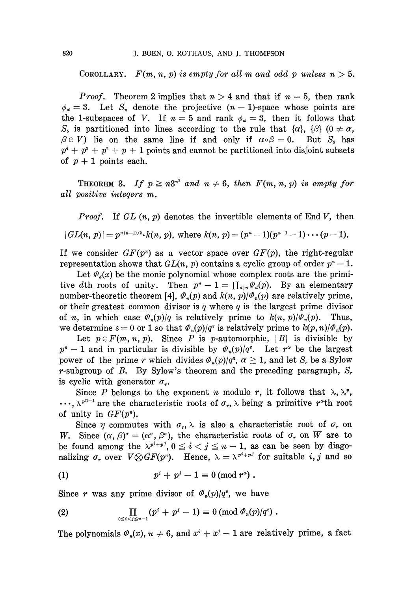COROLLARY.  $F(m, n, p)$  is empty for all m and odd p unless  $n > 5$ .

*Proof.* Theorem 2 implies that *n* > 4 and that if *n =* 5, then rank  $a_2 = 3$ . Let  $S_n$  denote the projective  $(n - 1)$ -space whose points are the 1-subspaces of V. If  $n = 5$  and rank  $\phi_{\alpha} = 3$ , then it follows that *S*<sub>i</sub> is partitioned into lines according to the rule that  $\{\alpha\}$ ,  $\{\beta\}$  (0  $\neq \alpha$ , *β* $\in$  *V*) lie on the same line if and only if  $\alpha \circ \beta = 0$ . But  $S_5$  has  $p^4 + p^3 + p^2 + p + 1$  points and cannot be partitioned into disjoint subsets of  $p + 1$  points each.

THEOREM 3. If  $p \ge n3^{n^2}$  and  $n \ne 6$ , then  $F(m, n, p)$  is empty for *all positive inteqers m.*

*Proof.* If *GL (n, p)* denotes the invertible elements of End *V,* then  $|GL(n, p)| = p^{n(n-1)/2} \cdot k(n, p)$ , where  $k(n, p) = (p^{n} - 1)(p^{n-1} - 1) \cdots (p-1)$ .

If we consider  $GF(p<sup>n</sup>)$  as a vector space over  $GF(p)$ , the right-regular representation shows that  $GL(n, p)$  contains a cyclic group of order  $p^{n}-1$ .

Let  $\Phi_d(x)$  be the monic polynomial whose complex roots are the primi tive dth roots of unity. Then  $p^{n} - 1 = \prod_{d|n} \Phi_d(p)$ . By an elementary number-theoretic theorem [4],  $\varPhi_n(p)$  and  $k(n, p)/\varPhi_n(p)$  are relatively prime, or their greatest common divisor is *q* where *q* is the largest prime divisor of *n*, in which case  $\Phi_n(p)/q$  is relatively prime to  $k(n, p)/\Phi_n(p)$ *(p)* Thus, we determine  $\varepsilon = 0$  or 1 so that  $\varPhi_n(p)/q^{\varepsilon}$  is relatively prime to  $k(p, n)/\varPhi_n(p)$ .

Let  $p \in F(m, n, p)$ . Since P is p-automorphic,  $|B|$  is divisible by  $p^{n} - 1$  and in particular is divisible by  $\Phi_{n}(p)/q^{s}$ . Let  $r^{a}$  be the largest power of the prime *r* which divides  $\Phi_n(p)/q^{\varepsilon}$ ,  $\alpha \ge 1$ , and let  $S_r$  be a Sylow r-subgroup of *B.* By Sylow's theorem and the preceding paragraph, *S<sup>r</sup>* is cyclic with generator  $\sigma_r$ .

Since *P* belongs to the exponent *n* modulo *r*, it follows that  $\lambda$ ,  $\lambda^p$ ,  $\cdots$ ,  $\lambda^{p^{n-1}}$  are the characteristic roots of  $\sigma_r$ ,  $\lambda$  being a primitive r<sup>\*</sup>th root of unity in  $GF(p<sup>n</sup>)$ .

Since  $\gamma$  commutes with  $\sigma_r$ ,  $\lambda$  is also a characteristic root of  $\sigma_r$  on *W.* Since  $(\alpha, \beta)^{\sigma} = (\alpha^{\sigma}, \beta^{\sigma})$ , the characteristic roots of  $\sigma_r$  on *W* are to be found among the  $\lambda^{p^i+p^j}$ ,  $0 \leq i < j \leq n-1$ , as can be seen by diagonalizing  $\sigma_r$  over  $V \otimes GF(p^m)$ . Hence,  $\lambda = \lambda^{p^i+p^j}$  for suitable *i, j* and so

(1) 
$$
p^{i} + p^{j} - 1 \equiv 0 \pmod{r^{a}}.
$$

Since r was any prime divisor of  $\Phi_n(p)/q^e$ , we have

(2) 
$$
\prod_{0 \leq i < j \leq n-1} (p^i + p^j - 1) \equiv 0 \pmod{\varPhi_n(p)/q^s} \, .
$$

The polynomials  $\varPhi_n(x)$ ,  $n \neq 6$ , and  $x^i + x^j - 1$  are relatively prime, a fact